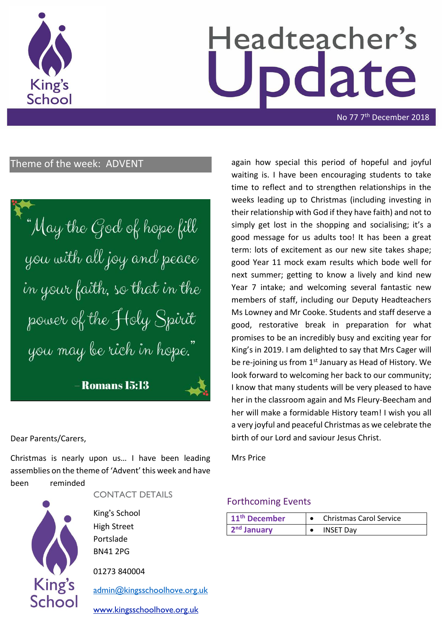

# Headteacher's date

No 77 7<sup>th</sup> December 2018

## Theme of the week: ADVENT

"May the God of hope fill you with all joy and peace in your faith, so that in the power of the Holy Spirit you may be rich in hope."

- Romans 15:13

#### Dear Parents/Carers,

Christmas is nearly upon us… I have been leading assemblies on the theme of 'Advent' this week and have been reminded



CONTACT DETAILS

King's School High Street Portslade BN41 2PG

01273 840004

[admin@kingsschoolhove.org.uk](mailto:admin@kingsschoolhove.org.uk)

[www.kingsschoolhove.org.uk](http://www.kingsschoolhove.org.uk/)

again how special this period of hopeful and joyful waiting is. I have been encouraging students to take time to reflect and to strengthen relationships in the weeks leading up to Christmas (including investing in their relationship with God if they have faith) and not to simply get lost in the shopping and socialising; it's a good message for us adults too! It has been a great term: lots of excitement as our new site takes shape; good Year 11 mock exam results which bode well for next summer; getting to know a lively and kind new Year 7 intake; and welcoming several fantastic new members of staff, including our Deputy Headteachers Ms Lowney and Mr Cooke. Students and staff deserve a good, restorative break in preparation for what promises to be an incredibly busy and exciting year for King's in 2019. I am delighted to say that Mrs Cager will be re-joining us from  $1<sup>st</sup>$  January as Head of History. We look forward to welcoming her back to our community; I know that many students will be very pleased to have her in the classroom again and Ms Fleury-Beecham and her will make a formidable History team! I wish you all a very joyful and peaceful Christmas as we celebrate the birth of our Lord and saviour Jesus Christ.

Mrs Price

#### Forthcoming Events

| 11 <sup>th</sup> December | <b>Christmas Carol Service</b> |
|---------------------------|--------------------------------|
| $2nd$ January             | <b>INSET Day</b>               |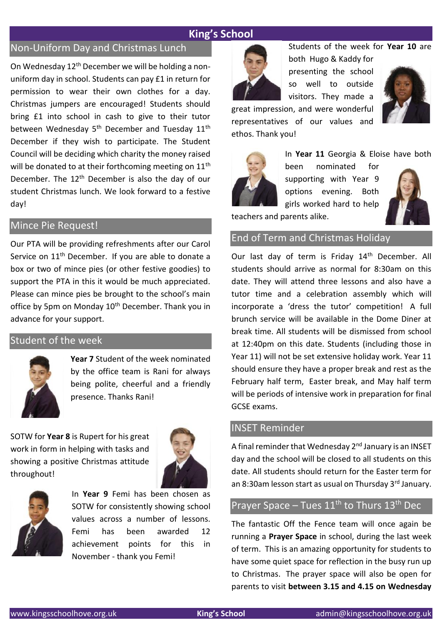# **King's School**

## Non-Uniform Day and Christmas Lunch

On Wednesday 12th December we will be holding a nonuniform day in school. Students can pay £1 in return for permission to wear their own clothes for a day. Christmas jumpers are encouraged! Students should bring £1 into school in cash to give to their tutor between Wednesday 5<sup>th</sup> December and Tuesday 11<sup>th</sup> December if they wish to participate. The Student Council will be deciding which charity the money raised will be donated to at their forthcoming meeting on 11<sup>th</sup> December. The  $12<sup>th</sup>$  December is also the day of our student Christmas lunch. We look forward to a festive day!

#### Mince Pie Request!

Our PTA will be providing refreshments after our Carol Service on 11<sup>th</sup> December. If you are able to donate a box or two of mince pies (or other festive goodies) to support the PTA in this it would be much appreciated. Please can mince pies be brought to the school's main office by 5pm on Monday 10<sup>th</sup> December. Thank you in advance for your support.

#### Student of the week



**Year 7** Student of the week nominated by the office team is Rani for always being polite, cheerful and a friendly presence. Thanks Rani!

SOTW for **Year 8** is Rupert for his great work in form in helping with tasks and showing a positive Christmas attitude throughout!





In **Year 9** Femi has been chosen as SOTW for consistently showing school values across a number of lessons. Femi has been awarded 12 achievement points for this in November - thank you Femi!



Students of the week for **Year 10** are

both Hugo & Kaddy for presenting the school so well to outside visitors. They made a



great impression, and were wonderful representatives of our values and ethos. Thank you!



In **Year 11** Georgia & Eloise have both

been nominated for supporting with Year 9 options evening. Both girls worked hard to help



teachers and parents alike.

#### End of Term and Christmas Holiday

Our last day of term is Friday 14<sup>th</sup> December. All students should arrive as normal for 8:30am on this date. They will attend three lessons and also have a tutor time and a celebration assembly which will incorporate a 'dress the tutor' competition! A full brunch service will be available in the Dome Diner at break time. All students will be dismissed from school at 12:40pm on this date. Students (including those in Year 11) will not be set extensive holiday work. Year 11 should ensure they have a proper break and rest as the February half term, Easter break, and May half term will be periods of intensive work in preparation for final GCSE exams.

## INSET Reminder

A final reminder that Wednesday 2<sup>nd</sup> January is an INSET day and the school will be closed to all students on this date. All students should return for the Easter term for an 8:30am lesson start as usual on Thursday 3rd January.

## Prayer Space – Tues  $11^{th}$  to Thurs  $13^{th}$  Dec

The fantastic Off the Fence team will once again be running a **Prayer Space** in school, during the last week of term. This is an amazing opportunity for students to have some quiet space for reflection in the busy run up to Christmas. The prayer space will also be open for parents to visit **between 3.15 and 4.15 on Wednesday**